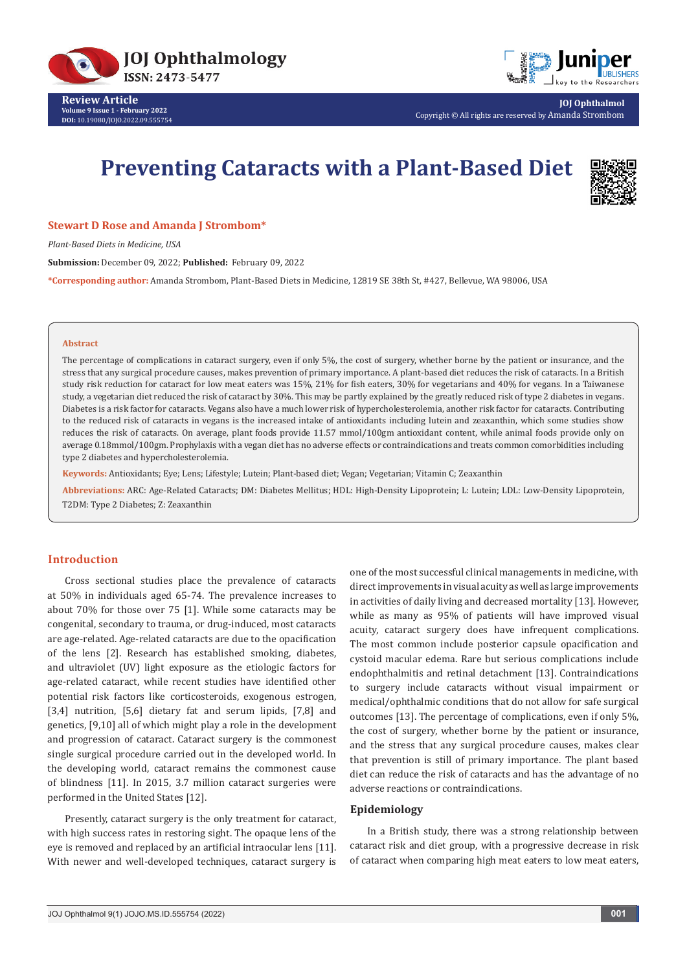



**JOJ Ophthalmol** Copyright © All rights are reserved by Amanda Strombom

# **Preventing Cataracts with a Plant-Based Diet**



#### **Stewart D Rose and Amanda J Strombom\***

*Plant-Based Diets in Medicine, USA*

**Submission:** December 09, 2022; **Published:** February 09, 2022

**\*Corresponding author:** Amanda Strombom, Plant-Based Diets in Medicine, 12819 SE 38th St, #427, Bellevue, WA 98006, USA

#### **Abstract**

The percentage of complications in cataract surgery, even if only 5%, the cost of surgery, whether borne by the patient or insurance, and the stress that any surgical procedure causes, makes prevention of primary importance. A plant-based diet reduces the risk of cataracts. In a British study risk reduction for cataract for low meat eaters was 15%, 21% for fish eaters, 30% for vegetarians and 40% for vegans. In a Taiwanese study, a vegetarian diet reduced the risk of cataract by 30%. This may be partly explained by the greatly reduced risk of type 2 diabetes in vegans. Diabetes is a risk factor for cataracts. Vegans also have a much lower risk of hypercholesterolemia, another risk factor for cataracts. Contributing to the reduced risk of cataracts in vegans is the increased intake of antioxidants including lutein and zeaxanthin, which some studies show reduces the risk of cataracts. On average, plant foods provide 11.57 mmol/100gm antioxidant content, while animal foods provide only on average 0.18mmol/100gm. Prophylaxis with a vegan diet has no adverse effects or contraindications and treats common comorbidities including type 2 diabetes and hypercholesterolemia.

**Keywords:** Antioxidants; Eye; Lens; Lifestyle; Lutein; Plant-based diet; Vegan; Vegetarian; Vitamin C; Zeaxanthin

**Abbreviations:** ARC: Age-Related Cataracts; DM: Diabetes Mellitus; HDL: High-Density Lipoprotein; L: Lutein; LDL: Low-Density Lipoprotein, T2DM: Type 2 Diabetes; Z: Zeaxanthin

# **Introduction**

Cross sectional studies place the prevalence of cataracts at 50% in individuals aged 65-74. The prevalence increases to about 70% for those over 75 [1]. While some cataracts may be congenital, secondary to trauma, or drug-induced, most cataracts are age-related. Age-related cataracts are due to the opacification of the lens [2]. Research has established smoking, diabetes, and ultraviolet (UV) light exposure as the etiologic factors for age-related cataract, while recent studies have identified other potential risk factors like corticosteroids, exogenous estrogen, [3,4] nutrition, [5,6] dietary fat and serum lipids, [7,8] and genetics, [9,10] all of which might play a role in the development and progression of cataract. Cataract surgery is the commonest single surgical procedure carried out in the developed world. In the developing world, cataract remains the commonest cause of blindness [11]. In 2015, 3.7 million cataract surgeries were performed in the United States [12].

Presently, cataract surgery is the only treatment for cataract, with high success rates in restoring sight. The opaque lens of the eye is removed and replaced by an artificial intraocular lens [11]. With newer and well-developed techniques, cataract surgery is one of the most successful clinical managements in medicine, with direct improvements in visual acuity as well as large improvements in activities of daily living and decreased mortality [13]. However, while as many as 95% of patients will have improved visual acuity, cataract surgery does have infrequent complications. The most common include posterior capsule opacification and cystoid macular edema. Rare but serious complications include endophthalmitis and retinal detachment [13]. Contraindications to surgery include cataracts without visual impairment or medical/ophthalmic conditions that do not allow for safe surgical outcomes [13]. The percentage of complications, even if only 5%, the cost of surgery, whether borne by the patient or insurance, and the stress that any surgical procedure causes, makes clear that prevention is still of primary importance. The plant based diet can reduce the risk of cataracts and has the advantage of no adverse reactions or contraindications.

# **Epidemiology**

In a British study, there was a strong relationship between cataract risk and diet group, with a progressive decrease in risk of cataract when comparing high meat eaters to low meat eaters,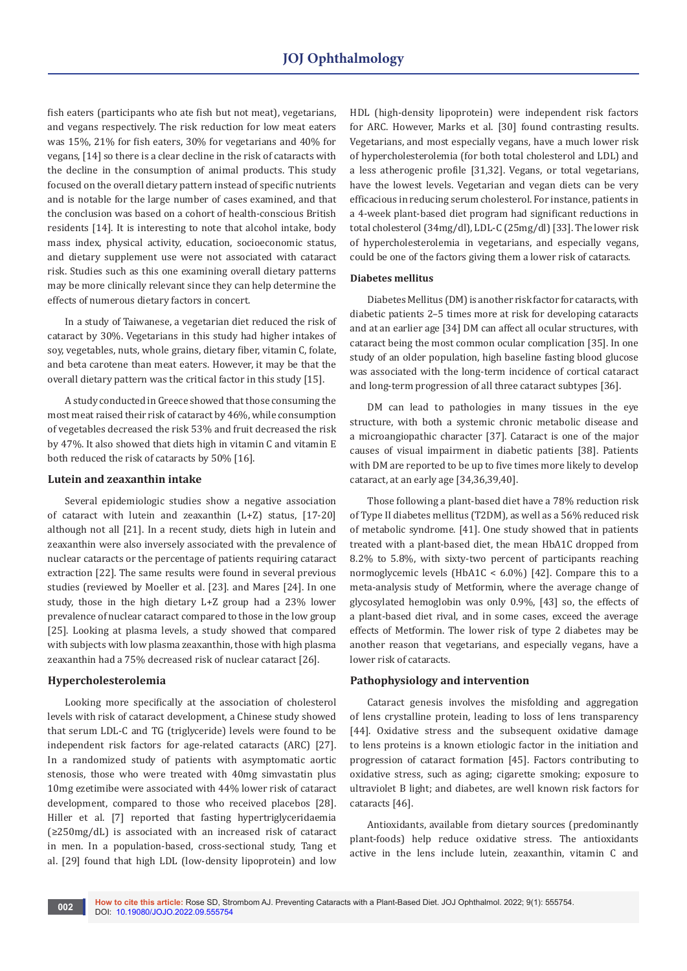fish eaters (participants who ate fish but not meat), vegetarians, and vegans respectively. The risk reduction for low meat eaters was 15%, 21% for fish eaters, 30% for vegetarians and 40% for vegans, [14] so there is a clear decline in the risk of cataracts with the decline in the consumption of animal products. This study focused on the overall dietary pattern instead of specific nutrients and is notable for the large number of cases examined, and that the conclusion was based on a cohort of health-conscious British residents [14]. It is interesting to note that alcohol intake, body mass index, physical activity, education, socioeconomic status, and dietary supplement use were not associated with cataract risk. Studies such as this one examining overall dietary patterns may be more clinically relevant since they can help determine the effects of numerous dietary factors in concert.

In a study of Taiwanese, a vegetarian diet reduced the risk of cataract by 30%. Vegetarians in this study had higher intakes of soy, vegetables, nuts, whole grains, dietary fiber, vitamin C, folate, and beta carotene than meat eaters. However, it may be that the overall dietary pattern was the critical factor in this study [15].

A study conducted in Greece showed that those consuming the most meat raised their risk of cataract by 46%, while consumption of vegetables decreased the risk 53% and fruit decreased the risk by 47%. It also showed that diets high in vitamin C and vitamin E both reduced the risk of cataracts by 50% [16].

## **Lutein and zeaxanthin intake**

Several epidemiologic studies show a negative association of cataract with lutein and zeaxanthin (L+Z) status, [17-20] although not all [21]. In a recent study, diets high in lutein and zeaxanthin were also inversely associated with the prevalence of nuclear cataracts or the percentage of patients requiring cataract extraction [22]. The same results were found in several previous studies (reviewed by Moeller et al. [23]. and Mares [24]. In one study, those in the high dietary L+Z group had a 23% lower prevalence of nuclear cataract compared to those in the low group [25]. Looking at plasma levels, a study showed that compared with subjects with low plasma zeaxanthin, those with high plasma zeaxanthin had a 75% decreased risk of nuclear cataract [26].

## **Hypercholesterolemia**

Looking more specifically at the association of cholesterol levels with risk of cataract development, a Chinese study showed that serum LDL-C and TG (triglyceride) levels were found to be independent risk factors for age-related cataracts (ARC) [27]. In a randomized study of patients with asymptomatic aortic stenosis, those who were treated with 40mg simvastatin plus 10mg ezetimibe were associated with 44% lower risk of cataract development, compared to those who received placebos [28]. Hiller et al. [7] reported that fasting hypertriglyceridaemia (≥250mg/dL) is associated with an increased risk of cataract in men. In a population-based, cross-sectional study, Tang et al. [29] found that high LDL (low-density lipoprotein) and low

HDL (high-density lipoprotein) were independent risk factors for ARC. However, Marks et al. [30] found contrasting results. Vegetarians, and most especially vegans, have a much lower risk of hypercholesterolemia (for both total cholesterol and LDL) and a less atherogenic profile [31,32]. Vegans, or total vegetarians, have the lowest levels. Vegetarian and vegan diets can be very efficacious in reducing serum cholesterol. For instance, patients in a 4-week plant-based diet program had significant reductions in total cholesterol (34mg/dl), LDL-C (25mg/dl) [33]. The lower risk of hypercholesterolemia in vegetarians, and especially vegans, could be one of the factors giving them a lower risk of cataracts.

## **Diabetes mellitus**

Diabetes Mellitus (DM) is another risk factor for cataracts, with diabetic patients 2–5 times more at risk for developing cataracts and at an earlier age [34] DM can affect all ocular structures, with cataract being the most common ocular complication [35]. In one study of an older population, high baseline fasting blood glucose was associated with the long-term incidence of cortical cataract and long-term progression of all three cataract subtypes [36].

DM can lead to pathologies in many tissues in the eye structure, with both a systemic chronic metabolic disease and a microangiopathic character [37]. Cataract is one of the major causes of visual impairment in diabetic patients [38]. Patients with DM are reported to be up to five times more likely to develop cataract, at an early age [34,36,39,40].

Those following a plant-based diet have a 78% reduction risk of Type II diabetes mellitus (T2DM), as well as a 56% reduced risk of metabolic syndrome. [41]. One study showed that in patients treated with a plant-based diet, the mean HbA1C dropped from 8.2% to 5.8%, with sixty-two percent of participants reaching normoglycemic levels (HbA1C < 6.0%) [42]. Compare this to a meta-analysis study of Metformin, where the average change of glycosylated hemoglobin was only 0.9%, [43] so, the effects of a plant-based diet rival, and in some cases, exceed the average effects of Metformin. The lower risk of type 2 diabetes may be another reason that vegetarians, and especially vegans, have a lower risk of cataracts.

## **Pathophysiology and intervention**

Cataract genesis involves the misfolding and aggregation of lens crystalline protein, leading to loss of lens transparency [44]. Oxidative stress and the subsequent oxidative damage to lens proteins is a known etiologic factor in the initiation and progression of cataract formation [45]. Factors contributing to oxidative stress, such as aging; cigarette smoking; exposure to ultraviolet B light; and diabetes, are well known risk factors for cataracts [46].

Antioxidants, available from dietary sources (predominantly plant-foods) help reduce oxidative stress. The antioxidants active in the lens include lutein, zeaxanthin, vitamin C and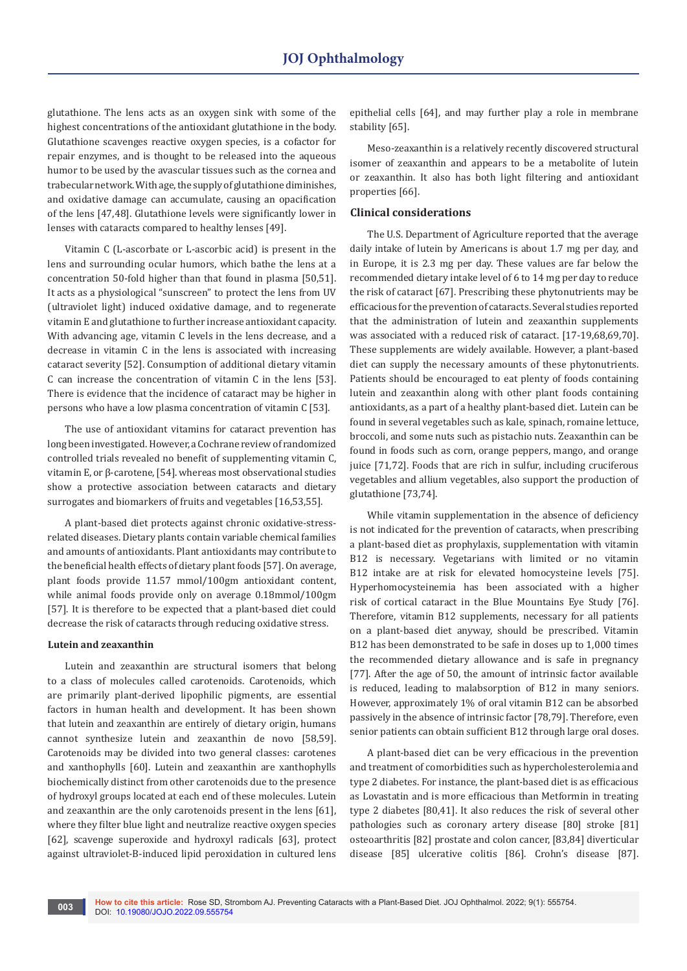glutathione. The lens acts as an oxygen sink with some of the highest concentrations of the antioxidant glutathione in the body. Glutathione scavenges reactive oxygen species, is a cofactor for repair enzymes, and is thought to be released into the aqueous humor to be used by the avascular tissues such as the cornea and trabecular network. With age, the supply of glutathione diminishes, and oxidative damage can accumulate, causing an opacification of the lens [47,48]. Glutathione levels were significantly lower in lenses with cataracts compared to healthy lenses [49].

Vitamin C (L-ascorbate or L-ascorbic acid) is present in the lens and surrounding ocular humors, which bathe the lens at a concentration 50-fold higher than that found in plasma [50,51]. It acts as a physiological "sunscreen" to protect the lens from UV (ultraviolet light) induced oxidative damage, and to regenerate vitamin E and glutathione to further increase antioxidant capacity. With advancing age, vitamin C levels in the lens decrease, and a decrease in vitamin C in the lens is associated with increasing cataract severity [52]. Consumption of additional dietary vitamin C can increase the concentration of vitamin C in the lens [53]. There is evidence that the incidence of cataract may be higher in persons who have a low plasma concentration of vitamin C [53].

The use of antioxidant vitamins for cataract prevention has long been investigated. However, a Cochrane review of randomized controlled trials revealed no benefit of supplementing vitamin C, vitamin E, or β-carotene, [54]. whereas most observational studies show a protective association between cataracts and dietary surrogates and biomarkers of fruits and vegetables [16,53,55].

A plant-based diet protects against chronic oxidative-stressrelated diseases. Dietary plants contain variable chemical families and amounts of antioxidants. Plant antioxidants may contribute to the beneficial health effects of dietary plant foods [57]. On average, plant foods provide 11.57 mmol/100gm antioxidant content, while animal foods provide only on average 0.18mmol/100gm [57]. It is therefore to be expected that a plant-based diet could decrease the risk of cataracts through reducing oxidative stress.

#### **Lutein and zeaxanthin**

Lutein and zeaxanthin are structural isomers that belong to a class of molecules called carotenoids. Carotenoids, which are primarily plant-derived lipophilic pigments, are essential factors in human health and development. It has been shown that lutein and zeaxanthin are entirely of dietary origin, humans cannot synthesize lutein and zeaxanthin de novo [58,59]. Carotenoids may be divided into two general classes: carotenes and xanthophylls [60]. Lutein and zeaxanthin are xanthophylls biochemically distinct from other carotenoids due to the presence of hydroxyl groups located at each end of these molecules. Lutein and zeaxanthin are the only carotenoids present in the lens [61], where they filter blue light and neutralize reactive oxygen species [62], scavenge superoxide and hydroxyl radicals [63], protect against ultraviolet-B-induced lipid peroxidation in cultured lens

epithelial cells [64], and may further play a role in membrane stability [65].

Meso-zeaxanthin is a relatively recently discovered structural isomer of zeaxanthin and appears to be a metabolite of lutein or zeaxanthin. It also has both light filtering and antioxidant properties [66].

## **Clinical considerations**

The U.S. Department of Agriculture reported that the average daily intake of lutein by Americans is about 1.7 mg per day, and in Europe, it is 2.3 mg per day. These values are far below the recommended dietary intake level of 6 to 14 mg per day to reduce the risk of cataract [67]. Prescribing these phytonutrients may be efficacious for the prevention of cataracts. Several studies reported that the administration of lutein and zeaxanthin supplements was associated with a reduced risk of cataract. [17-19,68,69,70]. These supplements are widely available. However, a plant-based diet can supply the necessary amounts of these phytonutrients. Patients should be encouraged to eat plenty of foods containing lutein and zeaxanthin along with other plant foods containing antioxidants, as a part of a healthy plant-based diet. Lutein can be found in several vegetables such as kale, spinach, romaine lettuce, broccoli, and some nuts such as pistachio nuts. Zeaxanthin can be found in foods such as corn, orange peppers, mango, and orange juice [71,72]. Foods that are rich in sulfur, including cruciferous vegetables and allium vegetables, also support the production of glutathione [73,74].

While vitamin supplementation in the absence of deficiency is not indicated for the prevention of cataracts, when prescribing a plant-based diet as prophylaxis, supplementation with vitamin B12 is necessary. Vegetarians with limited or no vitamin B12 intake are at risk for elevated homocysteine levels [75]. Hyperhomocysteinemia has been associated with a higher risk of cortical cataract in the Blue Mountains Eye Study [76]. Therefore, vitamin B12 supplements, necessary for all patients on a plant-based diet anyway, should be prescribed. Vitamin B12 has been demonstrated to be safe in doses up to 1,000 times the recommended dietary allowance and is safe in pregnancy [77]. After the age of 50, the amount of intrinsic factor available is reduced, leading to malabsorption of B12 in many seniors. However, approximately 1% of oral vitamin B12 can be absorbed passively in the absence of intrinsic factor [78,79]. Therefore, even senior patients can obtain sufficient B12 through large oral doses.

A plant-based diet can be very efficacious in the prevention and treatment of comorbidities such as hypercholesterolemia and type 2 diabetes. For instance, the plant-based diet is as efficacious as Lovastatin and is more efficacious than Metformin in treating type 2 diabetes [80,41]. It also reduces the risk of several other pathologies such as coronary artery disease [80] stroke [81] osteoarthritis [82] prostate and colon cancer, [83,84] diverticular disease [85] ulcerative colitis [86]. Crohn's disease [87].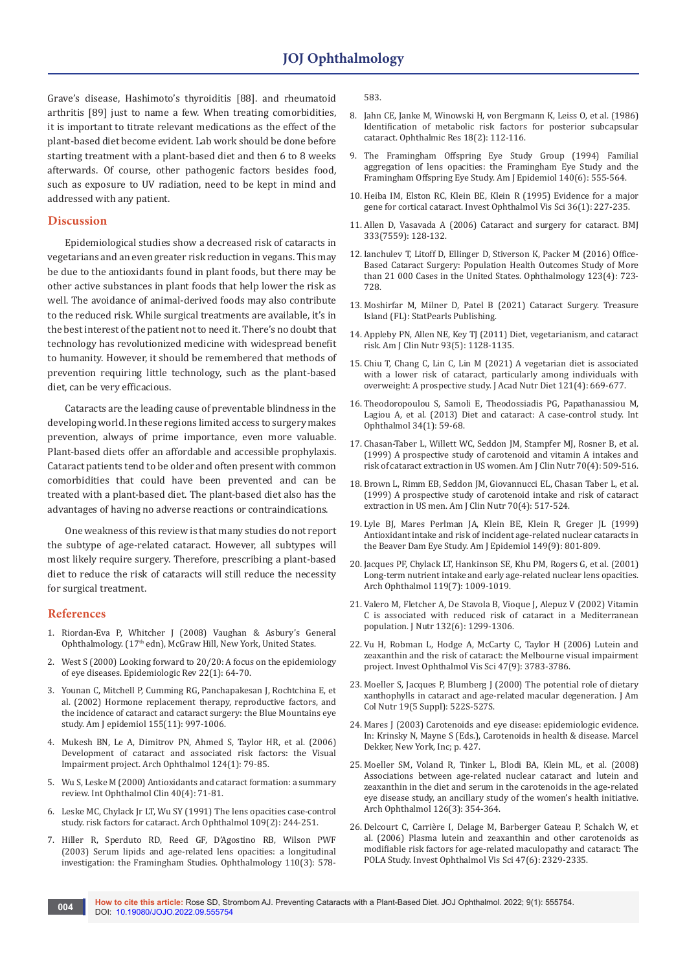Grave's disease, Hashimoto's thyroiditis [88]. and rheumatoid arthritis [89] just to name a few. When treating comorbidities, it is important to titrate relevant medications as the effect of the plant-based diet become evident. Lab work should be done before starting treatment with a plant-based diet and then 6 to 8 weeks afterwards. Of course, other pathogenic factors besides food, such as exposure to UV radiation, need to be kept in mind and addressed with any patient.

# **Discussion**

Epidemiological studies show a decreased risk of cataracts in vegetarians and an even greater risk reduction in vegans. This may be due to the antioxidants found in plant foods, but there may be other active substances in plant foods that help lower the risk as well. The avoidance of animal-derived foods may also contribute to the reduced risk. While surgical treatments are available, it's in the best interest of the patient not to need it. There's no doubt that technology has revolutionized medicine with widespread benefit to humanity. However, it should be remembered that methods of prevention requiring little technology, such as the plant-based diet, can be very efficacious.

Cataracts are the leading cause of preventable blindness in the developing world. In these regions limited access to surgery makes prevention, always of prime importance, even more valuable. Plant-based diets offer an affordable and accessible prophylaxis. Cataract patients tend to be older and often present with common comorbidities that could have been prevented and can be treated with a plant-based diet. The plant-based diet also has the advantages of having no adverse reactions or contraindications.

One weakness of this review is that many studies do not report the subtype of age-related cataract. However, all subtypes will most likely require surgery. Therefore, prescribing a plant-based diet to reduce the risk of cataracts will still reduce the necessity for surgical treatment.

#### **References**

- 1. Riordan-Eva P, Whitcher J (2008) Vaughan & Asbury's General Ophthalmology. (17<sup>th</sup> edn), McGraw Hill, New York, United States.
- 2. [West S \(2000\) Looking forward to 20/20: A focus on the epidemiology](https://pubmed.ncbi.nlm.nih.gov/10939008/)  [of eye diseases. Epidemiologic Rev 22\(1\): 64-70.](https://pubmed.ncbi.nlm.nih.gov/10939008/)
- 3. [Younan C, Mitchell P, Cumming RG, Panchapakesan J, Rochtchina E, et](https://pubmed.ncbi.nlm.nih.gov/12034578/)  [al. \(2002\) Hormone replacement therapy, reproductive factors, and](https://pubmed.ncbi.nlm.nih.gov/12034578/)  [the incidence of cataract and cataract surgery: the Blue Mountains eye](https://pubmed.ncbi.nlm.nih.gov/12034578/)  [study. Am J epidemiol 155\(11\): 997-1006.](https://pubmed.ncbi.nlm.nih.gov/12034578/)
- 4. [Mukesh BN, Le A, Dimitrov PN, Ahmed S, Taylor HR, et al. \(2006\)](https://pubmed.ncbi.nlm.nih.gov/16401788/)  [Development of cataract and associated risk factors: the Visual](https://pubmed.ncbi.nlm.nih.gov/16401788/)  [Impairment project. Arch Ophthalmol 124\(1\): 79-85.](https://pubmed.ncbi.nlm.nih.gov/16401788/)
- 5. [Wu S, Leske M \(2000\) Antioxidants and cataract formation: a summary](https://pubmed.ncbi.nlm.nih.gov/11064858/)  [review. Int Ophthalmol Clin 40\(4\): 71-81.](https://pubmed.ncbi.nlm.nih.gov/11064858/)
- 6. [Leske MC, Chylack Jr LT, Wu SY \(1991\) The lens opacities case-control](https://pubmed.ncbi.nlm.nih.gov/1993036/)  [study. risk factors for cataract. Arch Ophthalmol 109\(2\): 244-251.](https://pubmed.ncbi.nlm.nih.gov/1993036/)
- 7. [Hiller R, Sperduto RD, Reed GF, D'Agostino RB, Wilson PWF](https://pubmed.ncbi.nlm.nih.gov/12623825/)  [\(2003\) Serum lipids and age-related lens opacities: a longitudinal](https://pubmed.ncbi.nlm.nih.gov/12623825/)  [investigation: the Framingham Studies. Ophthalmology 110\(3\): 578-](https://pubmed.ncbi.nlm.nih.gov/12623825/)

[583.](https://pubmed.ncbi.nlm.nih.gov/12623825/)

- 8. [Jahn CE, Janke M, Winowski H, von Bergmann K, Leiss O, et al. \(1986\)](https://pubmed.ncbi.nlm.nih.gov/3737111/)  [Identification of metabolic risk factors for posterior subcapsular](https://pubmed.ncbi.nlm.nih.gov/3737111/)  [cataract. Ophthalmic Res 18\(2\): 112-116.](https://pubmed.ncbi.nlm.nih.gov/3737111/)
- 9. [The Framingham Offspring Eye Study Group \(1994\) Familial](https://pubmed.ncbi.nlm.nih.gov/8067349/)  [aggregation of lens opacities: the Framingham Eye Study and the](https://pubmed.ncbi.nlm.nih.gov/8067349/)  [Framingham Offspring Eye Study. Am J Epidemiol 140\(6\): 555-564.](https://pubmed.ncbi.nlm.nih.gov/8067349/)
- 10. [Heiba IM, Elston RC, Klein BE, Klein R \(1995\) Evidence for a major](https://pubmed.ncbi.nlm.nih.gov/7822150/)  [gene for cortical cataract. Invest Ophthalmol Vis Sci 36\(1\): 227-235.](https://pubmed.ncbi.nlm.nih.gov/7822150/)
- 11. [Allen D, Vasavada A \(2006\) Cataract and surgery for cataract. BMJ](https://pubmed.ncbi.nlm.nih.gov/16840470/)  [333\(7559\): 128-132.](https://pubmed.ncbi.nlm.nih.gov/16840470/)
- 12. [Ianchulev T, Litoff D, Ellinger D, Stiverson K, Packer M \(2016\) Office-](https://pubmed.ncbi.nlm.nih.gov/26804760/)[Based Cataract Surgery: Population Health Outcomes Study of More](https://pubmed.ncbi.nlm.nih.gov/26804760/)  [than 21 000 Cases in the United States. Ophthalmology 123\(4\): 723-](https://pubmed.ncbi.nlm.nih.gov/26804760/) [728.](https://pubmed.ncbi.nlm.nih.gov/26804760/)
- 13. Moshirfar M, Milner D, Patel B (2021) Cataract Surgery. Treasure Island (FL): StatPearls Publishing.
- 14. [Appleby PN, Allen NE, Key TJ \(2011\) Diet, vegetarianism, and cataract](https://pubmed.ncbi.nlm.nih.gov/21430115/)  [risk. Am J Clin Nutr 93\(5\): 1128-1135.](https://pubmed.ncbi.nlm.nih.gov/21430115/)
- 15. [Chiu T, Chang C, Lin C, Lin M \(2021\) A vegetarian diet is associated](https://pubmed.ncbi.nlm.nih.gov/33309591/)  [with a lower risk of cataract, particularly among individuals with](https://pubmed.ncbi.nlm.nih.gov/33309591/)  [overweight: A prospective study. J Acad Nutr Diet 121\(4\): 669-677.](https://pubmed.ncbi.nlm.nih.gov/33309591/)
- 16. [Theodoropoulou S, Samoli E, Theodossiadis PG, Papathanassiou M,](https://pubmed.ncbi.nlm.nih.gov/23715849/)  [Lagiou A, et al. \(2013\) Diet and cataract: A case-control study. Int](https://pubmed.ncbi.nlm.nih.gov/23715849/)  [Ophthalmol 34\(1\): 59-68.](https://pubmed.ncbi.nlm.nih.gov/23715849/)
- 17. [Chasan-Taber L, Willett WC, Seddon JM, Stampfer MJ, Rosner B, et al.](https://pubmed.ncbi.nlm.nih.gov/10500020/)  [\(1999\) A prospective study of carotenoid and vitamin A intakes and](https://pubmed.ncbi.nlm.nih.gov/10500020/)  [risk of cataract extraction in US women. Am J Clin Nutr 70\(4\): 509-516.](https://pubmed.ncbi.nlm.nih.gov/10500020/)
- 18. [Brown L, Rimm EB, Seddon JM, Giovannucci EL, Chasan Taber L, et al.](https://pubmed.ncbi.nlm.nih.gov/10500021/)  [\(1999\) A prospective study of carotenoid intake and risk of cataract](https://pubmed.ncbi.nlm.nih.gov/10500021/)  [extraction in US men. Am J Clin Nutr 70\(4\): 517-524.](https://pubmed.ncbi.nlm.nih.gov/10500021/)
- 19. [Lyle BJ, Mares Perlman JA, Klein BE, Klein R, Greger JL \(1999\)](https://pubmed.ncbi.nlm.nih.gov/10221316/)  [Antioxidant intake and risk of incident age-related nuclear cataracts in](https://pubmed.ncbi.nlm.nih.gov/10221316/)  [the Beaver Dam Eye Study. Am J Epidemiol 149\(9\): 801-809.](https://pubmed.ncbi.nlm.nih.gov/10221316/)
- 20. [Jacques PF, Chylack LT, Hankinson SE, Khu PM, Rogers G, et al. \(2001\)](https://pubmed.ncbi.nlm.nih.gov/11448323/)  [Long-term nutrient intake and early age-related nuclear lens opacities.](https://pubmed.ncbi.nlm.nih.gov/11448323/)  [Arch Ophthalmol 119\(7\): 1009-1019.](https://pubmed.ncbi.nlm.nih.gov/11448323/)
- 21. [Valero M, Fletcher A, De Stavola B, Vioque J, Alepuz V \(2002\) Vitamin](https://pubmed.ncbi.nlm.nih.gov/12042450/)  [C is associated with reduced risk of cataract in a Mediterranean](https://pubmed.ncbi.nlm.nih.gov/12042450/)  [population. J Nutr 132\(6\): 1299-1306.](https://pubmed.ncbi.nlm.nih.gov/12042450/)
- 22. [Vu H, Robman L, Hodge A, McCarty C, Taylor H \(2006\) Lutein and](https://pubmed.ncbi.nlm.nih.gov/16936087/)  [zeaxanthin and the risk of cataract: the Melbourne visual impairment](https://pubmed.ncbi.nlm.nih.gov/16936087/)  [project. Invest Ophthalmol Vis Sci 47\(9\): 3783-3786.](https://pubmed.ncbi.nlm.nih.gov/16936087/)
- 23. [Moeller S, Jacques P, Blumberg J \(2000\) The potential role of dietary](https://pubmed.ncbi.nlm.nih.gov/11023002/)  [xanthophylls in cataract and age-related macular degeneration. J Am](https://pubmed.ncbi.nlm.nih.gov/11023002/)  [Col Nutr 19\(5 Suppl\): 522S-527S.](https://pubmed.ncbi.nlm.nih.gov/11023002/)
- 24. Mares J (2003) Carotenoids and eye disease: epidemiologic evidence. In: Krinsky N, Mayne S (Eds.), Carotenoids in health & disease. Marcel Dekker, New York, Inc; p. 427.
- 25. [Moeller SM, Voland R, Tinker L, Blodi BA, Klein ML, et al. \(2008\)](https://pubmed.ncbi.nlm.nih.gov/18332316/)  [Associations between age-related nuclear cataract and lutein and](https://pubmed.ncbi.nlm.nih.gov/18332316/)  [zeaxanthin in the diet and serum in the carotenoids in the age-related](https://pubmed.ncbi.nlm.nih.gov/18332316/)  [eye disease study, an ancillary study of the women's health initiative.](https://pubmed.ncbi.nlm.nih.gov/18332316/)  [Arch Ophthalmol 126\(3\): 354-364.](https://pubmed.ncbi.nlm.nih.gov/18332316/)
- 26. [Delcourt C, Carrière I, Delage M, Barberger Gateau P, Schalch W, et](https://pubmed.ncbi.nlm.nih.gov/16723441/)  [al. \(2006\) Plasma lutein and zeaxanthin and other carotenoids as](https://pubmed.ncbi.nlm.nih.gov/16723441/)  [modifiable risk factors for age-related maculopathy and cataract: The](https://pubmed.ncbi.nlm.nih.gov/16723441/)  [POLA Study. Invest Ophthalmol Vis Sci 47\(6\): 2329-2335.](https://pubmed.ncbi.nlm.nih.gov/16723441/)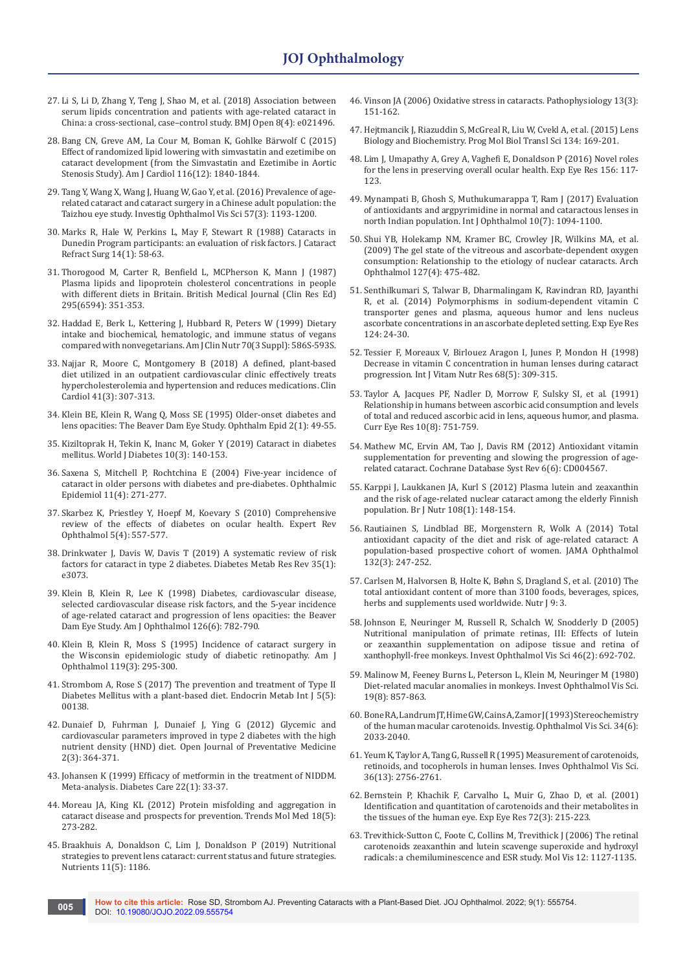- 27. [Li S, Li D, Zhang Y, Teng J, Shao M, et al. \(2018\) Association between](https://pubmed.ncbi.nlm.nih.gov/29626052/)  [serum lipids concentration and patients with age-related cataract in](https://pubmed.ncbi.nlm.nih.gov/29626052/)  [China: a cross-sectional, case–control study. BMJ Open 8\(4\): e021496.](https://pubmed.ncbi.nlm.nih.gov/29626052/)
- 28. [Bang CN, Greve AM, La Cour M, Boman K, Gohlke Bärwolf C \(2015\)](https://pubmed.ncbi.nlm.nih.gov/26602073/)  [Effect of randomized lipid lowering with simvastatin and ezetimibe on](https://pubmed.ncbi.nlm.nih.gov/26602073/)  [cataract development \(from the Simvastatin and Ezetimibe in Aortic](https://pubmed.ncbi.nlm.nih.gov/26602073/)  [Stenosis Study\). Am J Cardiol 116\(12\): 1840-1844.](https://pubmed.ncbi.nlm.nih.gov/26602073/)
- 29. [Tang Y, Wang X, Wang J, Huang W, Gao Y, et al. \(2016\) Prevalence of age](https://pubmed.ncbi.nlm.nih.gov/26975031/)[related cataract and cataract surgery in a Chinese adult population: the](https://pubmed.ncbi.nlm.nih.gov/26975031/)  [Taizhou eye study. Investig Ophthalmol Vis Sci 57\(3\): 1193-1200.](https://pubmed.ncbi.nlm.nih.gov/26975031/)
- 30. [Marks R, Hale W, Perkins L, May F, Stewart R \(1988\) Cataracts in](https://pubmed.ncbi.nlm.nih.gov/3339549/)  [Dunedin Program participants: an evaluation of risk factors. J Cataract](https://pubmed.ncbi.nlm.nih.gov/3339549/)  [Refract Surg 14\(1\): 58-63.](https://pubmed.ncbi.nlm.nih.gov/3339549/)
- 31. [Thorogood M, Carter R, Benfield L, MCPherson K, Mann J \(1987\)](https://pubmed.ncbi.nlm.nih.gov/3115444/)  [Plasma lipids and lipoprotein cholesterol concentrations in people](https://pubmed.ncbi.nlm.nih.gov/3115444/)  [with different diets in Britain. British Medical Journal \(Clin Res Ed\)](https://pubmed.ncbi.nlm.nih.gov/3115444/)  [295\(6594\): 351-353.](https://pubmed.ncbi.nlm.nih.gov/3115444/)
- 32. [Haddad E, Berk L, Kettering J, Hubbard R, Peters W \(1999\) Dietary](https://pubmed.ncbi.nlm.nih.gov/10479236/)  [intake and biochemical, hematologic, and immune status of vegans](https://pubmed.ncbi.nlm.nih.gov/10479236/)  [compared with nonvegetarians. Am J Clin Nutr 70\(3 Suppl\): 586S-593S.](https://pubmed.ncbi.nlm.nih.gov/10479236/)
- 33. [Najjar R, Moore C, Montgomery B \(2018\) A defined, plant‐based](https://pubmed.ncbi.nlm.nih.gov/29575002/)  [diet utilized in an outpatient cardiovascular clinic effectively treats](https://pubmed.ncbi.nlm.nih.gov/29575002/)  [hypercholesterolemia and hypertension and reduces medications. Clin](https://pubmed.ncbi.nlm.nih.gov/29575002/)  [Cardiol 41\(3\): 307-313.](https://pubmed.ncbi.nlm.nih.gov/29575002/)
- 34. [Klein BE, Klein R, Wang Q, Moss SE \(1995\) Older-onset diabetes and](https://pubmed.ncbi.nlm.nih.gov/7585233/)  [lens opacities: The Beaver Dam Eye Study. Ophthalm Epid 2\(1\): 49-55.](https://pubmed.ncbi.nlm.nih.gov/7585233/)
- 35. [Kiziltoprak H, Tekin K, Inanc M, Goker Y \(2019\) Cataract in diabetes](https://pubmed.ncbi.nlm.nih.gov/30891150/)  [mellitus. World J Diabetes 10\(3\): 140-153.](https://pubmed.ncbi.nlm.nih.gov/30891150/)
- 36. [Saxena S, Mitchell P, Rochtchina E \(2004\) Five-year incidence of](https://pubmed.ncbi.nlm.nih.gov/15512989/)  [cataract in older persons with diabetes and pre-diabetes. Ophthalmic](https://pubmed.ncbi.nlm.nih.gov/15512989/)  [Epidemiol 11\(4\): 271-277.](https://pubmed.ncbi.nlm.nih.gov/15512989/)
- 37. [Skarbez K, Priestley Y, Hoepf M, Koevary S \(2010\) Comprehensive](https://pubmed.ncbi.nlm.nih.gov/21760834/)  [review of the effects of diabetes on ocular health. Expert Rev](https://pubmed.ncbi.nlm.nih.gov/21760834/)  [Ophthalmol 5\(4\): 557-577.](https://pubmed.ncbi.nlm.nih.gov/21760834/)
- 38. [Drinkwater J, Davis W, Davis T \(2019\) A systematic review of risk](https://pubmed.ncbi.nlm.nih.gov/30209868/)  [factors for cataract in type 2 diabetes. Diabetes Metab Res Rev 35\(1\):](https://pubmed.ncbi.nlm.nih.gov/30209868/)  [e3073.](https://pubmed.ncbi.nlm.nih.gov/30209868/)
- 39. [Klein B, Klein R, Lee K \(1998\) Diabetes, cardiovascular disease,](https://www.ajo.com/article/S0002-9394(98)00280-3/pdf)  [selected cardiovascular disease risk factors, and the 5-year incidence](https://www.ajo.com/article/S0002-9394(98)00280-3/pdf)  [of age-related cataract and progression of lens opacities: the Beaver](https://www.ajo.com/article/S0002-9394(98)00280-3/pdf)  [Dam Eye Study. Am J Ophthalmol 126\(6\): 782-790.](https://www.ajo.com/article/S0002-9394(98)00280-3/pdf)
- 40. [Klein B, Klein R, Moss S \(1995\) Incidence of cataract surgery in](https://pubmed.ncbi.nlm.nih.gov/7872389)  [the Wisconsin epidemiologic study of diabetic retinopathy. Am J](https://pubmed.ncbi.nlm.nih.gov/7872389)  [Ophthalmol 119\(3\): 295-300.](https://pubmed.ncbi.nlm.nih.gov/7872389)
- 41. [Strombom A, Rose S \(2017\) The prevention and treatment of Type II](https://medcraveonline.com/EMIJ/the-prevention-and-treatment-of-type-2-diabetes-mellitus-with-a-plant-based-diet.html)  [Diabetes Mellitus with a plant-based diet. Endocrin Metab Int J 5\(5\):](https://medcraveonline.com/EMIJ/the-prevention-and-treatment-of-type-2-diabetes-mellitus-with-a-plant-based-diet.html)  [00138.](https://medcraveonline.com/EMIJ/the-prevention-and-treatment-of-type-2-diabetes-mellitus-with-a-plant-based-diet.html)
- 42. [Dunaief D, Fuhrman J, Dunaief J, Ying G \(2012\) Glycemic and](https://www.drfuhrman.com/content-image.ashx/65m12xy24xsjpvi3uuoa7e/OJPM20120300014_73341742.pdf)  [cardiovascular parameters improved in type 2 diabetes with the high](https://www.drfuhrman.com/content-image.ashx/65m12xy24xsjpvi3uuoa7e/OJPM20120300014_73341742.pdf)  [nutrient density \(HND\) diet. Open Journal of Preventative Medicine](https://www.drfuhrman.com/content-image.ashx/65m12xy24xsjpvi3uuoa7e/OJPM20120300014_73341742.pdf)  [2\(3\): 364-371.](https://www.drfuhrman.com/content-image.ashx/65m12xy24xsjpvi3uuoa7e/OJPM20120300014_73341742.pdf)
- 43. [Johansen K \(1999\) Efficacy of metformin in the treatment of NIDDM.](https://pubmed.ncbi.nlm.nih.gov/10333900/)  [Meta-analysis. Diabetes Care 22\(1\): 33-37.](https://pubmed.ncbi.nlm.nih.gov/10333900/)
- 44. [Moreau JA, King KL \(2012\) Protein misfolding and aggregation in](https://pubmed.ncbi.nlm.nih.gov/22520268/)  [cataract disease and prospects for prevention. Trends Mol Med 18\(5\):](https://pubmed.ncbi.nlm.nih.gov/22520268/)  [273-282.](https://pubmed.ncbi.nlm.nih.gov/22520268/)
- 45. [Braakhuis A, Donaldson C, Lim J, Donaldson P \(2019\) Nutritional](https://pubmed.ncbi.nlm.nih.gov/31137834/)  [strategies to prevent lens cataract: current status and future strategies.](https://pubmed.ncbi.nlm.nih.gov/31137834/)  [Nutrients 11\(5\): 1186.](https://pubmed.ncbi.nlm.nih.gov/31137834/)
- 46. [Vinson JA \(2006\) Oxidative stress in cataracts. Pathophysiology 13\(3\):](https://pubmed.ncbi.nlm.nih.gov/16765571/)  [151-162.](https://pubmed.ncbi.nlm.nih.gov/16765571/)
- 47. [Hejtmancik J, Riazuddin S, McGreal R, Liu W, Cvekl A, et al. \(2015\) Lens](https://pubmed.ncbi.nlm.nih.gov/26310155/)  [Biology and Biochemistry. Prog Mol Biol Transl Sci 134: 169-201.](https://pubmed.ncbi.nlm.nih.gov/26310155/)
- 48. [Lim J, Umapathy A, Grey A, Vaghefi E, Donaldson P \(2016\) Novel roles](https://pubmed.ncbi.nlm.nih.gov/27282996/)  [for the lens in preserving overall ocular health. Exp Eye Res 156: 117-](https://pubmed.ncbi.nlm.nih.gov/27282996/) [123.](https://pubmed.ncbi.nlm.nih.gov/27282996/)
- 49. [Mynampati B, Ghosh S, Muthukumarappa T, Ram J \(2017\) Evaluation](https://pubmed.ncbi.nlm.nih.gov/28730112/)  [of antioxidants and argpyrimidine in normal and cataractous lenses in](https://pubmed.ncbi.nlm.nih.gov/28730112/)  [north Indian population. Int J Ophthalmol 10\(7\): 1094-1100.](https://pubmed.ncbi.nlm.nih.gov/28730112/)
- 50. [Shui YB, Holekamp NM, Kramer BC, Crowley JR, Wilkins MA, et al.](https://pubmed.ncbi.nlm.nih.gov/19365028/)  [\(2009\) The gel state of the vitreous and ascorbate-dependent oxygen](https://pubmed.ncbi.nlm.nih.gov/19365028/)  [consumption: Relationship to the etiology of nuclear cataracts. Arch](https://pubmed.ncbi.nlm.nih.gov/19365028/)  [Ophthalmol 127\(4\): 475-482.](https://pubmed.ncbi.nlm.nih.gov/19365028/)
- 51. [Senthilkumari S, Talwar B, Dharmalingam K, Ravindran RD, Jayanthi](https://pubmed.ncbi.nlm.nih.gov/26980812/)  [R, et al. \(2014\) Polymorphisms in sodium-dependent vitamin C](https://pubmed.ncbi.nlm.nih.gov/26980812/)  [transporter genes and plasma, aqueous humor and lens nucleus](https://pubmed.ncbi.nlm.nih.gov/26980812/)  [ascorbate concentrations in an ascorbate depleted setting. Exp Eye Res](https://pubmed.ncbi.nlm.nih.gov/26980812/)  [124: 24-30.](https://pubmed.ncbi.nlm.nih.gov/26980812/)
- 52. [Tessier F, Moreaux V, Birlouez Aragon I, Junes P, Mondon H \(1998\)](https://pubmed.ncbi.nlm.nih.gov/9789763/)  [Decrease in vitamin C concentration in human lenses during cataract](https://pubmed.ncbi.nlm.nih.gov/9789763/)  [progression. Int J Vitam Nutr Res 68\(5\): 309-315.](https://pubmed.ncbi.nlm.nih.gov/9789763/)
- 53. [Taylor A, Jacques PF, Nadler D, Morrow F, Sulsky SI, et al. \(1991\)](https://pubmed.ncbi.nlm.nih.gov/1914507/)  [Relationship in humans between ascorbic acid consumption and levels](https://pubmed.ncbi.nlm.nih.gov/1914507/)  [of total and reduced ascorbic acid in lens, aqueous humor, and plasma.](https://pubmed.ncbi.nlm.nih.gov/1914507/)  [Curr Eye Res 10\(8\): 751-759.](https://pubmed.ncbi.nlm.nih.gov/1914507/)
- 54. [Mathew MC, Ervin AM, Tao J, Davis RM \(2012\) Antioxidant vitamin](https://www.cochrane.org/CD004567/EYES_antioxidant-vitamins-for-preventing-and-slowing-the-progression-of-age-related-cataract)  [supplementation for preventing and slowing the progression of age](https://www.cochrane.org/CD004567/EYES_antioxidant-vitamins-for-preventing-and-slowing-the-progression-of-age-related-cataract)[related cataract. Cochrane Database Syst Rev 6\(6\): CD004567.](https://www.cochrane.org/CD004567/EYES_antioxidant-vitamins-for-preventing-and-slowing-the-progression-of-age-related-cataract)
- 55. [Karppi J, Laukkanen JA, Kurl S \(2012\) Plasma lutein and zeaxanthin](https://pubmed.ncbi.nlm.nih.gov/22005336/)  [and the risk of age-related nuclear cataract among the elderly Finnish](https://pubmed.ncbi.nlm.nih.gov/22005336/)  [population. Br J Nutr 108\(1\): 148-154.](https://pubmed.ncbi.nlm.nih.gov/22005336/)
- 56. [Rautiainen S, Lindblad BE, Morgenstern R, Wolk A \(2014\) Total](https://pubmed.ncbi.nlm.nih.gov/24370844/)  [antioxidant capacity of the diet and risk of age-related cataract: A](https://pubmed.ncbi.nlm.nih.gov/24370844/)  [population-based prospective cohort of women. JAMA Ophthalmol](https://pubmed.ncbi.nlm.nih.gov/24370844/)  [132\(3\): 247-252.](https://pubmed.ncbi.nlm.nih.gov/24370844/)
- 57. [Carlsen M, Halvorsen B, Holte K, Bøhn S, Dragland S, et al. \(2010\) The](https://nutritionj.biomedcentral.com/articles/10.1186/1475-2891-9-3)  [total antioxidant content of more than 3100 foods, beverages, spices,](https://nutritionj.biomedcentral.com/articles/10.1186/1475-2891-9-3)  [herbs and supplements used worldwide. Nutr J 9: 3.](https://nutritionj.biomedcentral.com/articles/10.1186/1475-2891-9-3)
- 58. [Johnson E, Neuringer M, Russell R, Schalch W, Snodderly D \(2005\)](https://pubmed.ncbi.nlm.nih.gov/15671301/)  [Nutritional manipulation of primate retinas, III: Effects of lutein](https://pubmed.ncbi.nlm.nih.gov/15671301/)  [or zeaxanthin supplementation on adipose tissue and retina of](https://pubmed.ncbi.nlm.nih.gov/15671301/)  [xanthophyll-free monkeys. Invest Ophthalmol Vis Sci 46\(2\): 692-702.](https://pubmed.ncbi.nlm.nih.gov/15671301/)
- 59. [Malinow M, Feeney Burns L, Peterson L, Klein M, Neuringer M \(1980\)](https://pubmed.ncbi.nlm.nih.gov/7409981/)  [Diet-related macular anomalies in monkeys. Invest Ophthalmol Vis Sci.](https://pubmed.ncbi.nlm.nih.gov/7409981/)  [19\(8\): 857-863.](https://pubmed.ncbi.nlm.nih.gov/7409981/)
- 60. [Bone RA, Landrum JT, Hime GW, Cains A, Zamor J \(1993\) Stereochemistry](https://pubmed.ncbi.nlm.nih.gov/8491553/)  [of the human macular carotenoids. Investig. Ophthalmol Vis Sci. 34\(6\):](https://pubmed.ncbi.nlm.nih.gov/8491553/)  [2033-2040.](https://pubmed.ncbi.nlm.nih.gov/8491553/)
- 61. [Yeum K, Taylor A, Tang G, Russell R \(1995\) Measurement of carotenoids,](https://pubmed.ncbi.nlm.nih.gov/7499098/)  [retinoids, and tocopherols in human lenses. Inves Ophthalmol Vis Sci.](https://pubmed.ncbi.nlm.nih.gov/7499098/)  [36\(13\): 2756-2761.](https://pubmed.ncbi.nlm.nih.gov/7499098/)
- 62. [Bernstein P, Khachik F, Carvalho L, Muir G, Zhao D, et al. \(2001\)](https://pubmed.ncbi.nlm.nih.gov/11180970/)  [Identification and quantitation of carotenoids and their metabolites in](https://pubmed.ncbi.nlm.nih.gov/11180970/)  [the tissues of the human eye. Exp Eye Res 72\(3\): 215-223.](https://pubmed.ncbi.nlm.nih.gov/11180970/)
- 63. [Trevithick-Sutton C, Foote C, Collins M, Trevithick J \(2006\) The retinal](https://pubmed.ncbi.nlm.nih.gov/11180970/)  [carotenoids zeaxanthin and lutein scavenge superoxide and hydroxyl](https://pubmed.ncbi.nlm.nih.gov/11180970/)  [radicals: a chemiluminescence and ESR study. Mol Vis 12: 1127-1135.](https://pubmed.ncbi.nlm.nih.gov/11180970/)